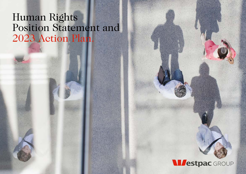### Human Rights Position Statement and 2023 Action Plan.

### **Mestpac** GROUP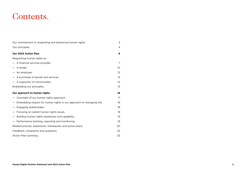### Contents.

| Our commitment to respecting and advancing human rights.             | 3              |
|----------------------------------------------------------------------|----------------|
| Our principles.                                                      | $\overline{4}$ |
| Our 2023 Action Plan.                                                | 6              |
| Respecting human rights as:                                          |                |
| - A financial services provider.                                     | 7              |
| - A lender.                                                          | 10             |
| - An employer.                                                       | 12             |
| - A purchaser of goods and services.                                 | 1 <sub>3</sub> |
| $-$ A supporter of communities.                                      | 14             |
| Embedding our principles.                                            | 15             |
| Our approach to human rights.                                        | 16             |
| - Oversight of our human rights approach.                            | 17             |
| Embedding respect for human rights in our approach to managing risk. | 18             |
| Engaging stakeholders.                                               | 18             |
| Focusing on salient human rights issues.                             | 18             |
| Building human rights awareness and capability.                      | 19             |
| - Performance tracking, reporting and monitoring.                    | 19             |
| Related policies, statements, frameworks and action plans.           | 20             |
| Feedback, complaints and questions.                                  | 22             |
| Action Plan summary.                                                 | 23             |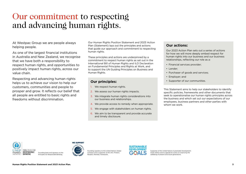### <span id="page-2-0"></span>Our commitment to respecting and advancing human rights.

At Westpac Group we are people always helping people.

As one of the largest financial institutions in Australia and New Zealand, we recognise that we have both a responsibility to respect human rights, and opportunities to positively impact human rights, across our value chain.

Respecting and advancing human rights helps us to achieve our vision to help our customers, communities and people to prosper and grow. It reflects our belief that all people are entitled to basic rights and freedoms without discrimination.

Our Human Rights Position Statement and 2023 Action Plan (Statement) lays out the principles and actions that guide our approach and commitment to respecting human rights.

These principles and actions are underpinned by a commitment to respect human rights as set out in the International Bill of Human Rights and ILO Declaration on Fundamental Principles and Rights at Work, and to support the UN Guiding Principles on Business and Human Rights.

### **Our principles:**

- 1. We respect human rights.
- 2. We assess our human rights impacts.
- 3. We integrate human rights considerations into our business and relationships.
- 4. We provide access to remedy when appropriate.
- 5. We engage with stakeholders on human rights.
- 6. We aim to be transparent and provide accurate and timely disclosure.

### **Our actions:**

Our 2023 Action Plan sets out a series of actions for how we will more deeply embed respect for human rights into our business and our business relationships, reflecting our role as a:

- Financial services provider;
- Lender;
- Purchaser of goods and services;
- Employer; and
- Supporter of our communities.

This Statement aims to help our stakeholders to identify specific policies, frameworks and other documents that seek to operationalise our human rights principles across the business and which set out our expectations of our employees, business partners and other parties with whom we work.



Founding bank and signatory to the Principles for Responsible Banking.



Founding signatory to the United Nations Global Compact and a supporter of the UN's 'Protect, Respect, Remedy' framework.



Supporter of the United Nations Sustainable Development Goals (SDGs) and its agenda for action on improving the wellbeing of present and future generations.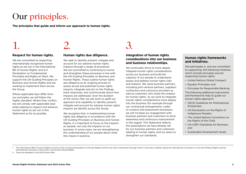### <span id="page-3-0"></span>Our principles.

**The principles that guide and inform our approach to human rights.**

## 1. 2. 3.

#### **Respect for human rights.**

We are committed to respecting internationally recognised human rights as set out in the International Bill of Human Rights' and ILO Declaration on Fundamental Principles and Rights at Work. We support the UN Guiding Principles on Business and Human Rights and are working to implement them across the Group.

Where applicable laws differ from our principles, we will follow the higher standard. Where they conflict, we will comply with applicable laws while seeking to respect and advance human rights as set out in this Statement as far as possible.

#### **Human rights due diligence.**

We seek to identify, prevent, mitigate and account for our adverse human rights impacts through a range of processes<sup>2</sup>. We are committed to continuing to evolve and strengthen these processes in line with the UN Guiding Principles on Business and Human Rights. These outline human rights due diligence as an ongoing process to assess actual and potential human rights impacts, integrate and act on the findings, track responses, and communicate about how impacts are addressed. Over the duration of the Action Plan we will work to uplift our approach and capability to identify, prevent, mitigate and account for adverse human rights impacts we identify across the Group.

We recognise that, in implementing human rights due diligence in accordance with the UN Guiding Principles on Business and Human Rights, it is important to focus on the impacts on people, not only the impacts on our business. In some cases, we are strengthening the understanding of our people about what this means in practice.

#### **Integration of human rights considerations into our business and business relationships.**

We continually strive to more deeply integrate human rights considerations across our business and build the capacity of our people to understand, assess and address human rights risks and impacts. We value business partners, including joint-venture partners, suppliers, contractors and outsource providers as well as customers who share this respect for human rights. As we work to integrate human rights considerations more deeply into the business (for example through our contractual arrangements, codes of conduct and assessment processes) we will increase our engagement with business partners and customers to drive awareness and continuous improvement in this regard. This Statement reflects the expectations we have already set for our business partners and customers relating to human rights, and our plans to strengthen our standards.

#### **Human rights frameworks and initiatives.**

We participate in, and are committed to supporting, the following initiatives which include principles around respecting human rights:

- United Nations Global Compact;
- Equator Principles; and
- Principles for Responsible Banking.

The following additional instruments and frameworks help to guide our human rights approach:

- OECD Guidelines for Multinational Enterprises;
- UN Declaration on the Rights of Indigenous Peoples;
- The United Nations Convention on the Rights of the Child;
- UN LGBTI Standards for Business; and
- Sustainable Development Goals.
- 1. The International Bill of Human Rights consists of the Universal Declaration of Human Rights and the two main instruments through which it has been codified, being the International Covenant on Civil and Political Right International Covenant on Economic, Social and Cultural Rights.
- 2. These are detailed in the *2023 Action Plan*.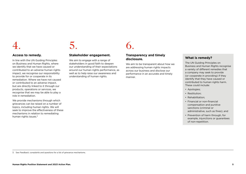## 4. 5. 6.

#### **Access to remedy.**

In line with the UN Guiding Principles on Business and Human Rights, where we identify that we have caused or contributed to an adverse human rights impact, we recognise our responsibility to provide for or cooperate in its remediation. Where we have not caused or contributed to an adverse impact, but are directly linked to it through our products, operations or services, we recognise that we may be able to play a role in remediation.

We provide mechanisms through which grievances can be raised on a number of topics, including human rights. We will seek to improve the effectiveness of these mechanisms in relation to remediating human rights issues.<sup>3</sup>

#### **Stakeholder engagement.**

We aim to engage with a range of stakeholders in good faith to deepen our understanding of their expectations around our human rights performance, as well as to help raise our awareness and understanding of human rights.

#### **Transparency and timely disclosure.**

We aim to be transparent about how we are addressing human rights impacts across our business and disclose our performance in an accurate and timely manner.

#### **What is remedy?**

The UN Guiding Principles on Business and Human Rights recognise a variety of different remedies that a company may seek to provide (or cooperate in providing) if they identify that they have caused or contributed to human rights harm. These could include:

- Apologies;
- Restitution;
- Rehabilitation;
- Financial or non-financial compensation and punitive sanctions (criminal or administrative, such as fines); and
- Prevention of harm through, for example, injunctions or guarantees of non-repetition.

3. See *Feedback, complaints and questions* for a list of grievance mechanisms.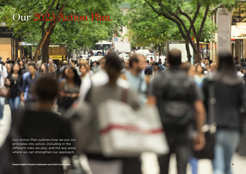<span id="page-5-0"></span>Our 2023 Action Plan.

Our Action Plan outlines how we put our principles into action, including in the different roles we play, and the key areas where we can strengthen our approach.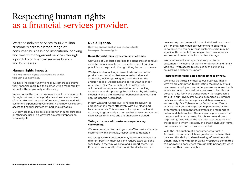### <span id="page-6-0"></span>Respecting human rights as a financial services provider.

Westpac delivers services to 14.2 million customers across a broad range of consumer, business and institutional banking and wealth management services through a portfolio of financial services brands and businesses.

#### **Human rights impacts.**

**The key human rights that could be at risk through our activities.**

We have the opportunity to help customers to achieve their financial goals, but this comes with a responsibility to deal with people fairly and honestly.

We recognise the risk that we may impact on human rights through how we provide products and services; our use of our customers' personal information; how we work with customers experiencing vulnerability; and how we support access to financial services by Indigenous Peoples.

Our services may also be exploited for criminal purposes or otherwise used in a way that adversely impacts on human rights.

#### **Due diligence.**

**How we operationalise our responsibility to respect human rights.**

#### **Doing the right thing by customers at all times.**

Our Code of Conduct describes the standards of conduct expected of our people, and provides a set of guiding principles to help us do the right thing by our customers.

Westpac is also looking at ways to design and offer products and services that are more inclusive and accessible, including taking into consideration the unique needs of Aboriginal and Torres Strait Islander Australians. Our Reconciliation Action Plan sets out the various ways we are driving better banking experiences and supporting Reconciliation by addressing inequality and building respect between Indigenous and non-Indigenous Australians.

In New Zealand, we use our Te Kākano framework to embed working more effectively with our Māori and Iwi communities. This enables us to support the Māori economy to grow and prosper, so that these communities have access to finance and are financially included.

#### **Taking extra care with customers experiencing vulnerability.**

We are committed to training our staff to treat vulnerable customers with sensitivity, respect and compassion.

We recognise that customers may become vulnerable at different points in their lives and require extra care and sensitivity in the way we serve and support them. Our Customer Vulnerability Policy and Standard underpins

how we help customers with their individual needs and deliver extra care when our customers need it most. In doing so, we can help those customers who may be significantly less able to represent their own interests, and susceptible to harm, loss or disadvantage.

We provide dedicated specialist support to our customers – including for victims of domestic and family violence – with access to services such as financial counselling and family support.

#### **Respecting personal data and the right to privacy.**

We know that trust is critical to our business. That is why we are committed to protecting the privacy of our customers, employees, and other people we interact with. When we collect personal data, we seek to handle that personal data fairly and transparently. Our approach is set out in our Privacy Policy, and supported by internal policies and standards on privacy, data governance, and security. Our Cybersecurity Coordination Centre actively monitors and helps secure personal data from cyber threats, and monitors, prevents and responds to potential data breaches. These steps help us ensure that the personal data that we collect is secure and used responsibly, used within the reasonable expectations of the people to whom it relates, and that individuals' rights, preferences and consents are respected.

With the introduction of a consumer data right in Australia, consumers will have greater control over their data and the ability to share banking information with others, including with other banks. Westpac is committed to empowering consumers through data portability, while respecting their privacy rights.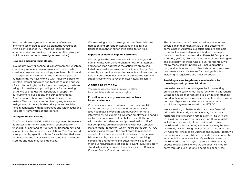Westpac also recognises the potential of new and emerging technologies such as biometric recognition, Artificial Intelligence (AI), machine learning, and automated decision-making to impact on the privacy of individuals and other human rights (see below).

#### **New and emerging technologies.**

In a rapidly evolving technological environment, Westpac continually monitors developments and proactively considers how we use technology – such as robotics and AI – responsibly. Recognising the potential impact on human rights, we have worked with industry experts to develop internal principles and toolkits to guide our use of such technologies, including when designing systems, using third parties and providing data for processing by AI. We seek to use AI responsibly in support of our customers, our people, and our communities. As emerging technologies continue to evolve and mature, Westpac is committed to ongoing review and realignment of the applicable principles and toolkits to remain consistent with best practice and within legal and regulatory frameworks as appropriate.

#### **Acting on financial crime.**

The Group Financial Crime Risk Management Framework addresses anti-money laundering & counter-terrorism financing, bribery and corruption; tax transparency; and economic and trade sanctions violations. This Framework is supported by specific policies for each identified area of financial crime risk as well as by standards, processes, systems and guidance for employees.

We are taking action to strengthen our financial crime detection and prevention activities, including our transaction monitoring for child exploitation risks.

#### **Impact of climate change on customers.**

We recognise the links between climate change and human rights. Our Climate Change Position Statement and Action Plan addresses the action we are taking to help our customers respond to climate change. For example, we provide access to products and services that help our customers become more climate-resilient and support customers to recover after natural disasters.

#### **Access to remedy.**

**The processes we have in place to allow for complaints about human rights.**

#### **Providing access to grievance mechanisms for our customers.**

Customers who wish to raise a concern or complaint can do so through a number of different channels (see *Feedback, complaints and questions* for more information). We expect all Westpac employees to handle customers' concerns confidentially, respectfully and with careful consideration and professionalism. All of our complaints are managed in line with our Complaint Management Framework which incorporates our FAIRGO principles and sets out the timeframes to respond to complaints and our complaint processes to be genuine, fair, reasonable, transparent and timely. In resolving complaints and determining outcomes we also must meet our requirements set out in relevant laws, regulatory standards, industry codes of practice (such as Banking Code of Practice), and our policies.

The Group also has a Customer Advocate who can provide an independent review of the outcome of complaints. In Australia, our customers are also able to contact several independent bodies to raise any concerns, such as the Australian Financial Complaints Authority (AFCA). For customers who choose to litigate, and especially for those who are un-represented, we follow model litigant principles – including acting fairly and with integrity. In other jurisdictions, we make customers aware of avenues for making disputes including to regulators and industry bodies.

#### **Providing access to grievance mechanisms for those impacted by financial crime.**

We assist law enforcement agencies in preventing criminals from carrying out illegal activity. In this regard, Westpac has an important role to play in strengthening our identification of suspicious payments and increasing our due diligence on customers who have had a suspicious payment reported to AUSTRAC.

We are seeking to better understand how financial crime with human rights impacts may impact our responsibilities regarding remediation in line with the UN Guiding Principles on Business and Human Rights, including when we might be considered to have contributed to such crimes, and when we may be seen as directly linked through our services. In line with the UN Guiding Principles on Business and Human Rights, we recognise our responsibility to provide for or cooperate in remediation where we identify we have caused or contributed to human rights harm, and that we may choose to play a role where we are directly linked to harm through our products, operations or services.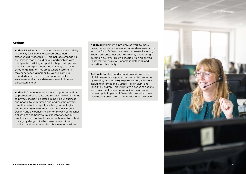#### **Actions.**

**Action 1:** Deliver an extra level of care and sensitivity in the way we serve and support customers experiencing vulnerability. This includes embedding our service model, building our partnerships with third parties, refining support tools, providing clear guidance on expectations and uplifting capability through training on key areas where customers may experience vulnerability. We will continue to undertake change management to reinforce awareness and appropriate responses in how we care, listen and act.

**Action 2:** Continue to enhance and uplift our ability to protect personal data and respect individuals' right to privacy, including better equipping our business and people to understand and address the privacy risks that arise in a rapidly evolving technological and regulatory environment. This includes regular training and awareness-raising on privacy compliance obligations and behavioural expectations for our employees and contractors and continuing to embed privacy by design into the development of our products and services and our business operations.

**Action 3:** Implement a program of work to more deeply integrate consideration of modern slavery risk into the Group's financial crime processes, including Know Your Customer and Anti-Money Laundering detection systems. This will include training on 'red flags' that will assist our people in detecting and reporting this activity.

**Action 4:** Build our understanding and awareness of child exploitation prevention and child protection by working with industry experts and organisations including International Justice Mission (IJM) and Save the Children. This will inform a series of actions and investments aimed at reducing the adverse human rights impacts of financial crime which have resulted or could result, from misuse of our services.

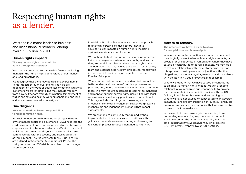### <span id="page-9-0"></span>Respecting human rights as a lender.

Westpac is a major lender to business and institutional customers, lending over \$190 billion in 2019.

#### **Human rights impacts.**

**The key human rights that could be at risk through our activities.**

Westpac is committed to sustainable finance, including managing the human rights dimensions of our finance and lending activities.

We recognise that there may be risks of adverse human rights impacts through our lending. The risks are dependent on the types of businesses or other institutional customers we are lending to, but may include freedom from slavery, freedom from discrimination, fair payment of wages and safe and healthy working conditions, and land and environment-related human rights.

#### **Due diligence.**

**How we operationalise our responsibility to respect human rights.**

We seek to incorporate human rights along with other environmental, social and governance (ESG) risks into the credit assessment and approval process for our business, corporate and institutional customers. We aim to conduct individual customer due diligence measures which are commensurate with the severity and likelihood of the adverse impact. The requirements for ESG risk analysis are outlined in Westpac's ESG Credit Risk Policy. The policy requires that ESG risk is considered in each stage of our credit cycle.

In addition, Position Statements set out our approach to financing certain sensitive sectors known to have particular impacts on human rights, including agribusiness, defence and tobacco.

We continue to build and refine our screening processes to include deeper consideration of country and sector risks, and additional checks where human rights risks are identified. This may involve the Group's sustainability team and external experts providing advice, for example in the case of financing major projects under the Equator Principles.

Where human rights concerns are identified, we look to better understand customers' policies, processes and practices and, where possible, work with them to improve these. We may require customers to commit to managing and monitoring their human rights risks in line with legal requirements or voluntary principles and commitments. This may include risk mitigation measures, such as effective stakeholder engagement strategies, grievance mechanisms and independent human rights impact assessments.

We are working to continually mature and embed implementation of our policies and positions with guidance materials, awareness raising and training for relevant employees for areas identified as high risk.

#### **Access to remedy.**

**The processes we have in place to allow for complaints about human rights.**

Where we do not have confidence that a customer will meaningfully prevent adverse human rights impacts, or provide for or cooperate in remediation where they have caused or contributed to adverse impacts, we may look to exit our relationship with the customer (noting that this approach must operate in conjunction with other obligations, such as our legal agreements and compliance with the Banking Code of Practice, if applicable).

Where we identify that we have caused or contributed to an adverse human rights impact through a lending relationship, we recognise our responsibility to provide for or cooperate in its remediation in line with the UN Guiding Principles on Business and Human Rights. Where we have not caused or contributed to an adverse impact, but are directly linked to it through our products, operations or services, we recognise that we may be able to play a role in remediation.

In the event of a concern or grievance arising from our lending relationships, any member of the public is able to contact the Group Sustainability team via email sustainability@westpac.com.au or by post to 275 Kent Street, Sydney NSW 2000 Australia.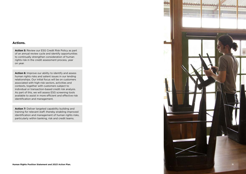#### **Actions.**

**Action 5:** Review our ESG Credit Risk Policy as part of an annual review cycle and identify opportunities to continually strengthen consideration of human rights risk in the credit assessment process, year on year.

**Action 6:** Improve our ability to identify and assess human rights risks and salient issues in our lending relationships. Our initial focus will be on customers associated with high-risk sectors, activities and contexts, together with customers subject to individual or transaction-based credit risk analysis. As part of this, we will assess ESG screening tools available to assist in more efficient and effective risk identification and management.

Action 7: Deliver targeted capability building and training for relevant staff, thereby enabling improved identification and management of human rights risks, particularly within banking, risk and credit teams.

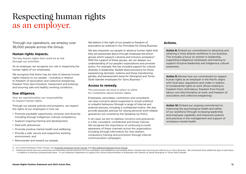### <span id="page-11-0"></span>Respecting human rights as an employer.

Through our operations, we employ over 36,000 people across the Group.

#### **Human rights impacts.**

**The key human rights that could be at risk through our activities.**

As an employer, we recognise our role in respecting the human rights of our employees.

We recognise that there may be risks of adverse human rights impacts to our people – including in relation to freedom of association and collective bargaining; freedom from discrimination, harassment and bullying; and ensuring safe and healthy working conditions.

#### **Due diligence.**

**How we operationalise our responsibility to respect human rights.**

Through our people policies and programs, we respect the rights of our employees in how we:

- Promote equitable opportunity, inclusion and diversity including through Indigenous cultural competency;
- Support ongoing training and development;
- Deal with grievances:
- Promote positive mental health and wellbeing;
- Provide a safe, secure and supportive working environment; and
- Remunerate and reward our people.

We believe in the right of our people to freedom of association as outlined in Our Principles for Doing Business.

We also empower our people to advance human rights that they are passionate about through employee-led action groups which support a diverse and inclusive workplace.4 With the support of these groups, we can deepen our understanding of our people's expectations and promote action. For example, this has included support for cultural diversity in leadership, flexible leave provisions for those experiencing domestic violence and those transitioning gender, and bereavement leave for Aboriginal and Torres Strait Islander employees for 'Sorry Business' 5.

#### **Access to remedy.**

**The processes we have in place to allow for complaints about human rights.**

Employees, secondees, contractors and consultants can raise concerns about suspected or actual unethical or unlawful behaviour through a range of internal and external avenues, including a confidential hotline. We also provide separate avenues for raising personal work-related grievances not covered by the Speaking Up Policy.

In all cases we aim to address concerns and grievances in a fair, consistent, confidential and timely manner. We recognise the importance of continuing to build awareness of these channels across the organisation, including through information for new-starters, compulsory training and promotion through internal communication campaigns.

#### **Actions.**

**Action 8:** Embed our commitment to attracting and retaining a more diverse workforce in our business. This includes a focus on women in leadership, supporting Indigenous employees and training to support inclusive leadership and Indigenous cultural awareness.

**Action 9:** Review how our commitment to respect human rights as an employer in the Pacific aligns with local laws, regulations and codes in relation to fundamental rights at work (those relating to freedom from child labour, freedom from forced labour, non-discrimination at work, and freedom of association and collective bargaining).

**Action 10:** Embed our ongoing commitment to improving the psychological health and safety of our workforce through increasing leadership and employee capability, and improved systems and practices in the management and support of workplace mental health.

<sup>4.</sup> For current Employee Action Groups, see [Australian Employee Action Groups](https://www.westpac.com.au/about-westpac/inclusion-and-diversity/inclusion-inspires-action/champions-of-inclusion/) and [New Zealand Employee Action Groups.](http://www.westpac.co.nz/who-we-are/careers-at-westpac/working-for-us)

<sup>5.</sup> Traditional funeral rites and ceremonies are important cultural practices for First Australians, and obligations surrounding illness, funerals and mourning are referred to as 'Sorry Business'. We introduced three additi – in addition to existing compassionate leave – in our Enterprise Agreement to support the cultural responsibilities of employees who identify as being Aboriginal or Torres Strait Islander.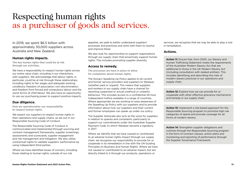### <span id="page-12-0"></span>Respecting human rights as a purchaser of goods and services.

In 2019, we spent \$6.5 billion with approximately 30,000 suppliers across Australia and New Zealand.

#### **Human rights impacts.**

**The key human rights that could be at risk through our activities.**

We have a responsibility to respect human rights across our entire value chain, including in our interactions with suppliers. We acknowledge that labour rights, in particular, could be at risk through these relationships, including rights to fair wages and adequate working conditions; freedom of association; non-discrimination; and freedom from forced and compulsory labour and the worst forms of child labour. We also have an opportunity to use our purchasing power to support positive impacts.

#### **Due diligence.**

**How we operationalise our responsibility to respect human rights.**

We expect our suppliers to respect human rights in their operations and supply chains, as set out in our Responsible Sourcing Code of Conduct.

The Responsible Sourcing Code of Conduct is communicated and implemented through sourcing and contract management frameworks, supplier screenings, assessments and scorecards; supplier engagement and risk management and mitigation. We also utilise contractual rights to validate suppliers' performance by using independent third parties.

Where we have identified issues of concern, including those relating to human rights, outside of our risk

appetite, we seek to better understand suppliers' processes and practices and work with them to resolve and improve these.

We also look for opportunities to support organisations through our supply chain that proactively support human rights. This includes promoting supplier diversity.

#### **Access to remedy.**

**The processes we have in place to allow for complaints about human rights.**

The Group's Speaking Up Policy applies to all current and former service providers and suppliers to Westpac (whether paid or unpaid). This means that suppliers and workers in our supply chain have a channel for reporting suspected or actual unethical or unlawful behaviour. This includes access to a confidential 24-hour independent hotline available in a range of countries. Where appropriate we are working to raise awareness of the Speaking Up Policy with our suppliers and to provide information about how our suppliers and their current and former employees can speak up under our policy.

The Supplier Advocate also acts as the voice for suppliers in relation to queries and complaints, particularly to support our commitments under the Australian Supplier Payment Code, to which Westpac became a signatory in 2017.

Where we identify that we have caused or contributed to an adverse human rights impact through our supply chain, we recognise our responsibility to provide for or cooperate in its remediation in line with the UN Guiding Principles on Business and Human Rights. Where we have not caused or contributed to an adverse impact, but are directly linked to it through our products, operations or

services, we recognise that we may be able to play a role in remediation.

#### **Actions.**

**Action 11:** Ensure that, from 2020, our Slavery and Human Trafficking Statement meets the requirements of the Australian Modern Slavery Act that are additional to those in the UK Modern Slavery Act (including consultation with related entities). This includes identifying and describing the risks of modern slavery practices in our operations and supply chain.

**Action 12:** Explore how we can provide for or cooperate with other effective grievance mechanisms and remedy in our supply chain.

**Action 13:** Implement a risk-based approach for the Responsible Sourcing program to prioritise high risk categories of spend and provide coverage for all forms of modern slavery.

**Action 14:** Strengthen supplier obligations and controls through the Responsible Sourcing program in the form of contract clauses, action plans and monitoring and reporting of performance through the Supplier Governance Framework.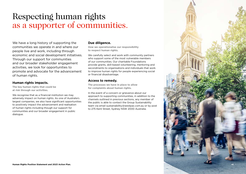### <span id="page-13-0"></span>Respecting human rights as a supporter of communities.

We have a long history of supporting the communities we operate in and where our people live and work, including through economic and social development initiatives. Through our support for communities and our broader stakeholder engagement activities, we look for opportunities to promote and advocate for the advancement of human rights.

#### **Human rights impacts.**

**The key human rights that could be at risk through our activities.**

We recognise that as a financial institution we may adversely impact on human rights. As one of Australia's largest companies, we also have significant opportunities to positively impact the advancement and realisation of human rights including though our support for communities and our broader engagement in public dialogue.

#### **Due diligence.**

**How we operationalise our responsibility to respect human rights.**

We carefully select and work with community partners who support some of the most vulnerable members of our communities. Our charitable Foundations provide grants, skill-based volunteering, mentoring and secondments to organisations and individuals that work to improve human rights for people experiencing social or financial disadvantage.

#### **Access to remedy.**

**The processes we have in place to allow for complaints about human rights.**

In the event of a concern or grievance about our approach to supporting communities, in addition to the channels outlined in previous sections, any member of the public is able to contact the Group Sustainability team via email sustainability@westpac.com.au or by post to 275 Kent Street, Sydney NSW 2000 Australia.

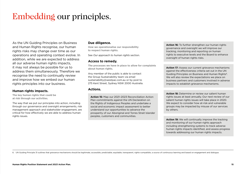<span id="page-14-0"></span>Embedding our principles.

As the UN Guiding Principles on Business and Human Rights recognise, our human rights risks may change over time as our operations and operating context evolve. In addition, while we are expected to address all our adverse human rights impacts, it may not always be possible for us to address them simultaneously. Therefore we recognise the need to continually review and improve how we embed our human rights principles into our business.

#### **Human rights impacts.**

**The key human rights that could be at risk through our activities.**

The way that we put our principles into action, including through our governance and oversight arrangements, risk management approach and stakeholder engagement, are critical for how effectively we are able to address human rights issues.

#### **Due diligence.**

**How we operationalise our responsibility to respect human rights.**

See *Our approach to human rights* section.

#### **Access to remedy.**

**The processes we have in place to allow for complaints about human rights.**

Any member of the public is able to contact the Group Sustainability team via email sustainability@westpac.com.au or by post to 275 Kent Street, Sydney NSW 2000 Australia.

#### **Actions.**

**Action 15:** Map our 2021–2023 Reconciliation Action Plan commitments against the UN Declaration on the Rights of Indigenous Peoples and undertake a social and economic impact assessment to better understand our opportunities to advance the prosperity of our Aboriginal and Torres Strait Islander peoples, customers and communities.

**Action 16:** To further strengthen our human rights governance and oversight we will improve our tracking, monitoring and reporting on human rights to executive levels and the Board to enhance oversight of human rights risks.

**Action 17:** Assess our current grievance mechanisms against the effectiveness criteria set out in the UN Guiding Principles on Business and Human Rights<sup>6</sup>. We will also review the expectations we place on business partners and customers involved in adverse impacts to establish grievance mechanisms.

Action 18: Determine or review our salient human rights issues at least annually. Our next review of our salient human rights issues will take place in 2020. We expect to consider how at-risk and vulnerable groups may be impacted by misuse of our services by others.

**Action 19:** We will continually improve the tracking and monitoring of our human rights approach including strengthening systems to track adverse human rights impacts identified, and assess progress towards addressing our human rights impacts.

6. UN Guiding Principle 31 outlines that grievance mechanisms should be legitimate, accessible, predictable, equitable, transparent, rights-compatible, a source of continuous learning and based on engagement and dialogue.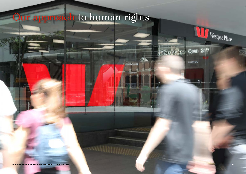# <span id="page-15-0"></span>Our approach to human rights.

Westpac Place

If Service Open 24/7

CASH EXCHANGE

*<u>Protection of the Contractors (Contractors)</u>* 

**BMART ATM**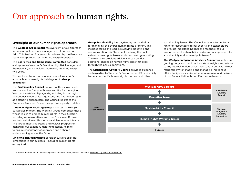### <span id="page-16-0"></span>Our approach to human rights.

#### **Oversight of our human rights approach.**

The **Westpac Group Board** has oversight of our approach to human rights and our management of human rights risks. This Position Statement is reviewed by the Executive Team and approved by the Board every three years.

The **Board Risk and Compliance Committee** considers and approves Westpac's Sustainability Risk Management Framework (which includes human rights risks) every two years.

The implementation and management of Westpac's approach to human rights is delegated to **Group Executives.**

Our **Sustainability Council** brings together senior leaders from across the Group with responsibility for managing Westpac's sustainability agenda, including human rights. The Council meets at least quarterly and has human rights as a standing agenda item. The Council reports to the Executive Team and Board through twice-yearly updates.

A **Human Rights Working Group** is led by the Group's Sustainability team. The Working Group comprises those whose role is to embed human rights in their function, including representatives from our Consumer, Business, Institutional, Human Resources and Procurement teams. This Group meets quarterly and reviews progress on managing our salient human rights issues, helping to ensure consistency of approach and a shared understanding across the Group.

**Divisional risk committees** consider sustainability risk dimensions in our business – including human rights – as required.

**Group Sustainability** has day-to-day responsibility for managing the overall human rights program. This includes taking the lead in reviewing, updating and communicating this Statement, defining the bank's salient human rights issues and coordinating reporting. The team also provides advice and can conduct additional checks on human rights risks that arise through the bank's operations.

The **Stakeholder Advisory Council** provides guidance and expertise to Westpac's Executives and Sustainability leaders on specific human rights matters, and other

sustainability issues. This Council acts as a forum for a range of respected external experts and stakeholders to provide important insights and feedback to our executives and sustainability leaders on our approach to sustainability and human rights issues.<sup>7</sup>

The **Westpac Indigenous Advisory Committee** acts as a guiding body and provides important insights and advice to key internal leaders across Westpac Group with direct responsibility for shaping and managing Indigenous affairs, Indigenous stakeholder engagement and delivery of our Reconciliation Action Plan commitments.



7. For more information on membership and topics considered, refer to the annual [Sustainability Performance Report.](https://www.westpac.com.au/about-westpac/sustainability/performance-reports/)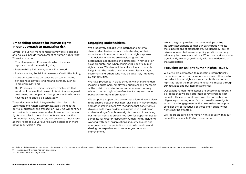#### <span id="page-17-0"></span>**Embedding respect for human rights in our approach to managing risk.**

Several of our risk management frameworks, positions and policies include management of human rights risks.<sup>8</sup> These include our:

- Risk Management Framework, which includes reputation and sustainability risk;
- Sustainability Risk Management Framework;
- Environmental, Social & Governance Credit Risk Policy;
- Position Statements on sensitive sectors including agribusiness, payday lending and defence, such as 'land grabbing',9 and
- Our Principles for Doing Business, which state that we do not believe that unlawful discrimination against customers, our people or other groups with whom we have dealings should be tolerated.<sup>10</sup>

These documents help integrate the principles in this Statement and, where appropriate, apply them at the portfolio, customer and transaction level. We will continue to consider how we can more deeply embed our human rights principles in these documents and our practices. Additional policies, processes, and grievance mechanisms as they relate to our various roles are described in more detail in our Action Plan.

#### **Engaging stakeholders.**

We proactively engage with internal and external stakeholders to deepen our understanding of their expectations in relation to our human rights approach. This includes when we are developing Position Statements, action plans and strategies, in remediation as appropriate, and when considering specific human rights issues. We also look to stakeholders to provide insight into the needs of vulnerable or disadvantaged customers and others who may be adversely impacted by our activities.

We have processes in place through which stakeholders, including customers, employees, suppliers and members of the public, can raise issues and concerns that may relate to human rights (see *Feedback, complaints and questions* for more information).

We support an open civic space that allows diverse views to be shared between business, civil society, government, and other stakeholders. We recognise that constructive dialogue with stakeholders can assist us in building an understanding of our human rights risks and in evolving our human rights approach. We look for opportunities to advocate for greater respect for human rights, including working with peer organisations, industry groups and non-government organisations, and collaborating and sharing our experiences to encourage continuous improvement.

We also regularly review our memberships of key industry associations so that our participation meets the expectations of stakeholders. We generally look to drive alignment between our policy positions and any advocacy by these associations. When our position varies significantly, we engage directly with the leadership of that association.

#### **Focusing on salient human rights issues.**

While we are committed to respecting internationally recognised human rights, we pay particular attention to our salient human rights issues – that is, those human rights at risk of the most severe negative impact through our activities and business relationships.

Our salient human rights issues are determined through a process that will be performed or reviewed at least annually. This incorporates our own human rights due diligence processes, input from external human rights experts, and engagement with stakeholders to help us consider the perspectives of those individuals whose rights may be affected.

We report on our salient human rights issues within our annual Sustainability Performance Report.

8. Refer to Related policies, statements, frameworks and action plans for a list of related policies, statements, frameworks and action plans that align our due diligence processes to the expectations of our stakeholders.

9. Financing Agribusiness Position Statement.

10. Our Principles for Doing Business.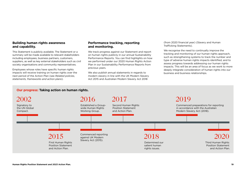#### <span id="page-18-0"></span>**Building human rights awareness and capability.**

This Statement is publicly available. The Statement or a summary will be made available to relevant stakeholders including employees, business partners, customers, suppliers, as well as key external stakeholders such as civil society organisations and community representatives.

Employees whose roles have specific human rights impacts will receive training on human rights over the next period of the Action Plan (see *Related policies, statements, frameworks and action plans*).

#### **Performance tracking, reporting and monitoring.**

We track progress against our Statement and report on human rights publicly in our annual Sustainability Performance Reports. You can find highlights on how we performed under our 2020 Human Rights Action Plan in our Sustainability Performance Reports from previous years.

We also publish annual statements in regards to modern slavery in line with the UK Modern Slavery Act 2015 and Australian Modern Slavery Act 2018

(from 2020 financial year) (Slavery and Human Trafficking Statements).

We recognise the need to continually improve the tracking and monitoring of our human rights approach, such as strengthening systems to track the number and type of adverse human rights impacts identified, and to assess progress towards addressing our human rights impacts. This will be an area of focus as we work to more deeply integrate consideration of human rights into our business and business relationships.

#### **Our progress: Taking action on human rights.**

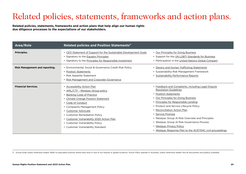## <span id="page-19-0"></span>Related policies, statements, frameworks and action plans.

**Related policies, statements, frameworks and action plans that help align our human rights due diligence processes to the expectations of our stakeholders.**

| Area/Role                             | Related policies and Position Statements <sup>11</sup>                                                                                                                                                                                                                                                                                                                       |                                                                                                                                                                                                                                                                                                                                                                                                                                                                                    |
|---------------------------------------|------------------------------------------------------------------------------------------------------------------------------------------------------------------------------------------------------------------------------------------------------------------------------------------------------------------------------------------------------------------------------|------------------------------------------------------------------------------------------------------------------------------------------------------------------------------------------------------------------------------------------------------------------------------------------------------------------------------------------------------------------------------------------------------------------------------------------------------------------------------------|
| Principles.                           | CEO Statement of Support for the Sustainable Development Goals<br>• Signatory to the Equator Principles<br>• Signatory to the Principles for Responsible Investment                                                                                                                                                                                                          | • Our Principles for Doing Business<br>• Support for the UN LGBTI Standards for Business<br>• Participation in the United Nations Global Compact                                                                                                                                                                                                                                                                                                                                   |
| <b>Risk Management and reporting.</b> | • Environmental, Social & Governance Credit Risk Policy<br><b>Position Statements</b><br>• Risk Appetite Statement<br>Risk Management and Corporate Governance                                                                                                                                                                                                               | • Slavery and Human Trafficking Statements<br>• Sustainability Risk Management Framework<br>• Sustainability Performance Reports                                                                                                                                                                                                                                                                                                                                                   |
| <b>Financial Services.</b>            | • Accessibility Action Plan<br>• AML/CTF - Westpac Group policy<br><b>Banking Code of Practice</b><br><b>Climate Change Position Statement</b><br>Code of Conduct<br>• Complaints Management Policy<br>Customer Advocate<br>• Customer Remediation Policy<br>Customer Vulnerability 2020 Action Plan<br>• Customer Vulnerability Policy<br>• Customer Vulnerability Standard | • Feedback and Complaints, including Legal Dispute<br><b>Resolution Guidelines</b><br>• Position Statements<br>• Our Principles for Doing Business<br>• Principles for Responsible Lending<br>• Product and Service Lifecycle Policy<br>• Reconciliation Action Plan<br>• Service Promise<br>• Westpac Group AI Risk Overview and Principles<br>• Westpac Group AI Risk Governance Process<br>• Westpac Privacy Policy<br>• Westpac Response Plan to the AUSTRAC civil proceedings |

11. Group-wide unless otherwise stated. Refer to equivalent policies where they exist in one of our brands or global locations. Action Plans operate in Australia, unless otherwise stated. Not all documents are publicly ava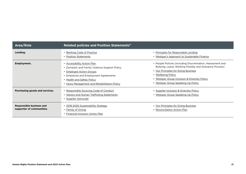| Area/Role                                                    | Related policies and Position Statements <sup>11</sup>                                                                                                                                                                            |                                                                                                                                                                                                                                                                            |
|--------------------------------------------------------------|-----------------------------------------------------------------------------------------------------------------------------------------------------------------------------------------------------------------------------------|----------------------------------------------------------------------------------------------------------------------------------------------------------------------------------------------------------------------------------------------------------------------------|
| Lending.                                                     | <b>Banking Code of Practice</b><br>• Position Statements                                                                                                                                                                          | • Principles for Responsible Lending<br>• Westpac's Approach to Sustainable Finance                                                                                                                                                                                        |
| Employment.                                                  | • Accessibility Action Plan<br>• Domestic and Family Violence Support Policy<br>• Employee Action Groups<br>• Enterprise and Employment Agreements<br>• Health and Safety Policy<br>• Injury Management and Rehabilitation Policy | • People Policies (including Discrimination, Harassment and<br>Bullying, Leave, Working Flexibly and Grievance Process)<br>• Our Principles for Doing Business<br>• Wellbeing Policy<br>• Westpac Group Inclusion & Diversity Policy<br>• Westpac Group Speaking Up Policy |
| Purchasing goods and services.                               | • Responsible Sourcing Code of Conduct<br>• Slavery and Human Trafficking Statements<br>• Supplier Advocate                                                                                                                       | • Supplier Inclusion & Diversity Policy<br>• Westpac Group Speaking Up Policy                                                                                                                                                                                              |
| <b>Responsible business and</b><br>supporter of communities. | • 2018-2020 Sustainability Strategy<br>• Family of Giving<br><b>Financial Inclusion Action Plan</b>                                                                                                                               | • Our Principles for Doing Business<br>• Reconciliation Action Plan                                                                                                                                                                                                        |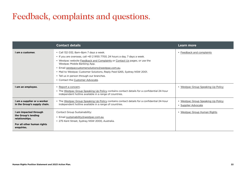### <span id="page-21-0"></span>Feedback, complaints and questions.

|                                                                                                            | <b>Contact details</b>                                                                                                                                                                                                                                                                                                                                                                                                                            | Learn more                                                |
|------------------------------------------------------------------------------------------------------------|---------------------------------------------------------------------------------------------------------------------------------------------------------------------------------------------------------------------------------------------------------------------------------------------------------------------------------------------------------------------------------------------------------------------------------------------------|-----------------------------------------------------------|
| I am a customer.                                                                                           | • Call 132 032, 8am-8pm 7 days a week.<br>• If you are overseas, call +61 2 9155 7700, 24 hours a day, 7 days a week.<br>• Westpac website Feedback and Complaints or Contact Us pages, or use the<br>Westpac Mobile Banking App.<br>· Email westpaccustomersolutions@westpac.com.au.<br>• Mail to Westpac Customer Solutions, Reply Paid 5265, Sydney NSW 2001.<br>• Tell us in person through our branches.<br>• Contact the Customer Advocate. | • Feedback and complaints                                 |
| I am an employee.                                                                                          | • Report a concern.<br>. The Westpac Group Speaking Up Policy contains contact details for a confidential 24-hour<br>independent hotline available in a range of countries.                                                                                                                                                                                                                                                                       | • Westpac Group Speaking Up Policy                        |
| I am a supplier or a worker<br>in the Group's supply chain.                                                | • The Westpac Group Speaking Up Policy contains contact details for a confidential 24-hour<br>independent hotline available in a range of countries.                                                                                                                                                                                                                                                                                              | • Westpac Group Speaking Up Policy<br>• Supplier Advocate |
| I am impacted through<br>the Group's lending<br>relationships.<br>For all other human rights<br>enquiries. | Contact Group Sustainability:<br>• Email sustainability@westpac.com.au<br>• 275 Kent Street, Sydney NSW 2000, Australia.                                                                                                                                                                                                                                                                                                                          | • Westpac Group Human Rights                              |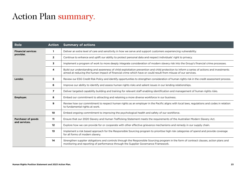### <span id="page-22-0"></span>Action Plan summary.

| <b>Role</b>                                | <b>Action</b>  | <b>Summary of actions</b>                                                                                                                                                                                                                                  |
|--------------------------------------------|----------------|------------------------------------------------------------------------------------------------------------------------------------------------------------------------------------------------------------------------------------------------------------|
| <b>Financial services</b><br>provider.     | 1              | Deliver an extra level of care and sensitivity in how we serve and support customers experiencing vulnerability.                                                                                                                                           |
|                                            | $\mathbf{2}$   | Continue to enhance and uplift our ability to protect personal data and respect individuals' right to privacy.                                                                                                                                             |
|                                            | 3              | Implement a program of work to more deeply integrate consideration of modern slavery risk into the Group's financial crime processes.                                                                                                                      |
|                                            | 4              | Build our understanding and awareness of child exploitation prevention and child protection to inform a series of actions and investments<br>aimed at reducing the human impact of financial crime which have or could result from misuse of our services. |
| Lender.                                    | 5              | Review our ESG Credit Risk Policy and identify opportunities to strengthen consideration of human rights risk in the credit assessment process.                                                                                                            |
|                                            | 6              | Improve our ability to identify and assess human rights risks and salient issues in our lending relationships.                                                                                                                                             |
|                                            | $\overline{ }$ | Deliver targeted capability building and training for relevant staff enabling identification and management of human rights risks.                                                                                                                         |
| <b>Employer.</b>                           | 8              | Embed our commitment to attracting and retaining a more diverse workforce in our business.                                                                                                                                                                 |
|                                            | 9              | Review how our commitment to respect human rights as an employer in the Pacific aligns with local laws, regulations and codes in relation<br>to fundamental rights at work.                                                                                |
|                                            | 10             | Embed ongoing commitment to improving the psychological health and safety of our workforce.                                                                                                                                                                |
| <b>Purchaser of goods</b><br>and services. | 11             | Ensure that our 2020 Slavery and Human Trafficking Statement meets the requirements of the Australian Modern Slavery Act.                                                                                                                                  |
|                                            | $12 \,$        | Explore how we can provide for or cooperate with other effective grievance mechanisms and remedy in our supply chain.                                                                                                                                      |
|                                            | 13             | Implement a risk based approach for the Responsible Sourcing program to prioritise high risk categories of spend and provide coverage<br>for all forms of modern slavery.                                                                                  |
|                                            | 14             | Strengthen supplier obligations and controls through the Responsible Sourcing program in the form of contract clauses, action plans and<br>monitoring and reporting of performance through the Supplier Governance Framework.                              |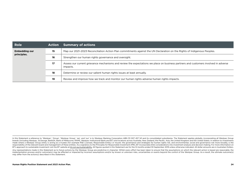| Role                                | <b>Action</b> | <b>Summary of actions</b>                                                                                                                       |
|-------------------------------------|---------------|-------------------------------------------------------------------------------------------------------------------------------------------------|
| <b>Embedding our</b><br>principles. | 15            | Map our 2021-2023 Reconciliation Action Plan commitments against the UN Declaration on the Rights of Indigenous Peoples.                        |
|                                     | 16            | Strengthen our human rights governance and oversight.                                                                                           |
|                                     | 17            | Assess our current grievance mechanisms and review the expectations we place on business partners and customers involved in adverse<br>impacts. |
|                                     | 18            | Determine or review our salient human rights issues at least annually.                                                                          |
|                                     | 19            | Review and improve how we track and monitor our human rights adverse human rights impacts.                                                      |

In this Statement a reference to 'Westpac', 'Group', 'Westpac Group', 'we', and 'our' is to Westpac Banking Corporation ABN 33 007 457 141 and its consolidated subsidiaries. The Statement applies globally, incorporating al brands (including Westpac, St.George, BankSA, Bank of Melbourne, RAMS, Westpac Institutional Bank and BT) and locations across Australia, New Zealand, the Pacific, Asia, the United Kingdom and the United States. In relatio made where a Westpac Group entity is acting as a trustee (for example RSE Licensee, Responsible Entity) or insurer, the governance and strategies for human rights risk, and environmental, social and governance risk more br responsibility of the relevant board and management of these entities. As a signatory to the Principles for Responsible Investment (PRI), BT incorporates ESG considerations into investment analysis and decision making. For not suppose the substitution of the BT website at [bt.com.au/sustainability](http://bt.com.au/sustainability). All figures quoted in this Statement are for the 12 months ended 30 September 2019 unless otherwise indicated. All dollar amounts are in Australia

Any representations made in this Statement as to future actions by the Westpac Group are predictive in character. Whilst every effort has been taken to ensure that the assumptions on which the relevant action is based are implementation process and/or outcome(s) may be affected or impacted by incorrect assumptions and/or by known or unknown risks, uncertainties or events beyond the control of the Westpac Group. As a result, the ultimate out may differ from the action(s) described in this Statement.